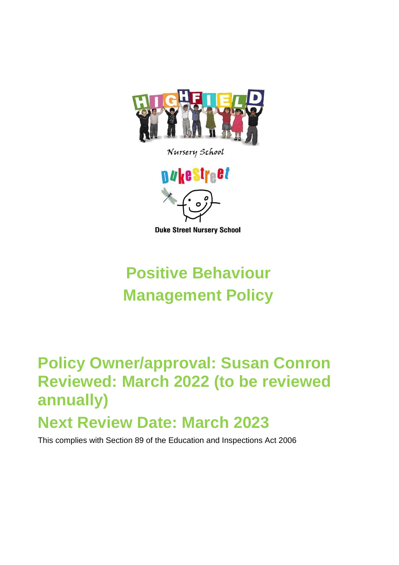

Nursery School



**Duke Street Nursery School** 

# **Positive Behaviour Management Policy**

## **Policy Owner/approval: Susan Conron Reviewed: March 2022 (to be reviewed annually) Next Review Date: March 2023**

This complies with Section 89 of the Education and Inspections Act 2006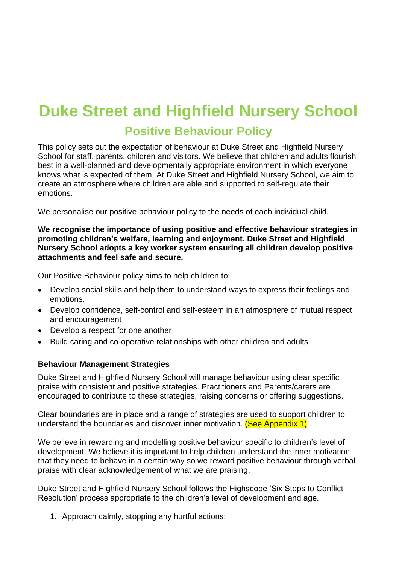### **Duke Street and Highfield Nursery School Positive Behaviour Policy**

This policy sets out the expectation of behaviour at Duke Street and Highfield Nursery School for staff, parents, children and visitors. We believe that children and adults flourish best in a well-planned and developmentally appropriate environment in which everyone knows what is expected of them. At Duke Street and Highfield Nursery School, we aim to create an atmosphere where children are able and supported to self-regulate their emotions.

We personalise our positive behaviour policy to the needs of each individual child.

**We recognise the importance of using positive and effective behaviour strategies in promoting children's welfare, learning and enjoyment. Duke Street and Highfield Nursery School adopts a key worker system ensuring all children develop positive attachments and feel safe and secure.** 

Our Positive Behaviour policy aims to help children to:

- Develop social skills and help them to understand ways to express their feelings and emotions.
- Develop confidence, self-control and self-esteem in an atmosphere of mutual respect and encouragement
- Develop a respect for one another
- Build caring and co-operative relationships with other children and adults

#### **Behaviour Management Strategies**

Duke Street and Highfield Nursery School will manage behaviour using clear specific praise with consistent and positive strategies. Practitioners and Parents/carers are encouraged to contribute to these strategies, raising concerns or offering suggestions.

Clear boundaries are in place and a range of strategies are used to support children to understand the boundaries and discover inner motivation. (See Appendix 1)

We believe in rewarding and modelling positive behaviour specific to children's level of development. We believe it is important to help children understand the inner motivation that they need to behave in a certain way so we reward positive behaviour through verbal praise with clear acknowledgement of what we are praising.

Duke Street and Highfield Nursery School follows the Highscope 'Six Steps to Conflict Resolution' process appropriate to the children's level of development and age.

1. Approach calmly, stopping any hurtful actions;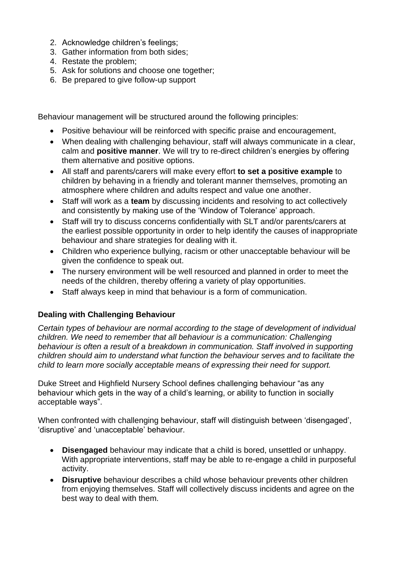- 2. Acknowledge children's feelings;
- 3. Gather information from both sides;
- 4. Restate the problem;
- 5. Ask for solutions and choose one together;
- 6. Be prepared to give follow-up support

Behaviour management will be structured around the following principles:

- Positive behaviour will be reinforced with specific praise and encouragement,
- When dealing with challenging behaviour, staff will always communicate in a clear, calm and **positive manner**. We will try to re-direct children's energies by offering them alternative and positive options.
- All staff and parents/carers will make every effort **to set a positive example** to children by behaving in a friendly and tolerant manner themselves, promoting an atmosphere where children and adults respect and value one another.
- Staff will work as a **team** by discussing incidents and resolving to act collectively and consistently by making use of the 'Window of Tolerance' approach.
- Staff will try to discuss concerns confidentially with SLT and/or parents/carers at the earliest possible opportunity in order to help identify the causes of inappropriate behaviour and share strategies for dealing with it.
- Children who experience bullying, racism or other unacceptable behaviour will be given the confidence to speak out.
- The nursery environment will be well resourced and planned in order to meet the needs of the children, thereby offering a variety of play opportunities.
- Staff always keep in mind that behaviour is a form of communication.

### **Dealing with Challenging Behaviour**

*Certain types of behaviour are normal according to the stage of development of individual children. We need to remember that all behaviour is a communication: Challenging behaviour is often a result of a breakdown in communication. Staff involved in supporting children should aim to understand what function the behaviour serves and to facilitate the child to learn more socially acceptable means of expressing their need for support.* 

Duke Street and Highfield Nursery School defines challenging behaviour "as any behaviour which gets in the way of a child's learning, or ability to function in socially acceptable ways".

When confronted with challenging behaviour, staff will distinguish between 'disengaged', 'disruptive' and 'unacceptable' behaviour.

- **Disengaged** behaviour may indicate that a child is bored, unsettled or unhappy. With appropriate interventions, staff may be able to re-engage a child in purposeful activity.
- **Disruptive** behaviour describes a child whose behaviour prevents other children from enjoying themselves. Staff will collectively discuss incidents and agree on the best way to deal with them.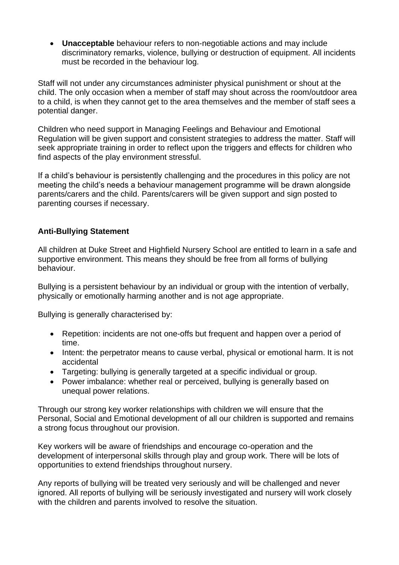• **Unacceptable** behaviour refers to non-negotiable actions and may include discriminatory remarks, violence, bullying or destruction of equipment. All incidents must be recorded in the behaviour log.

Staff will not under any circumstances administer physical punishment or shout at the child. The only occasion when a member of staff may shout across the room/outdoor area to a child, is when they cannot get to the area themselves and the member of staff sees a potential danger.

Children who need support in Managing Feelings and Behaviour and Emotional Regulation will be given support and consistent strategies to address the matter. Staff will seek appropriate training in order to reflect upon the triggers and effects for children who find aspects of the play environment stressful.

If a child's behaviour is persistently challenging and the procedures in this policy are not meeting the child's needs a behaviour management programme will be drawn alongside parents/carers and the child. Parents/carers will be given support and sign posted to parenting courses if necessary.

### **Anti-Bullying Statement**

All children at Duke Street and Highfield Nursery School are entitled to learn in a safe and supportive environment. This means they should be free from all forms of bullying behaviour.

Bullying is a persistent behaviour by an individual or group with the intention of verbally, physically or emotionally harming another and is not age appropriate.

Bullying is generally characterised by:

- Repetition: incidents are not one-offs but frequent and happen over a period of time.
- Intent: the perpetrator means to cause verbal, physical or emotional harm. It is not accidental
- Targeting: bullying is generally targeted at a specific individual or group.
- Power imbalance: whether real or perceived, bullying is generally based on unequal power relations.

Through our strong key worker relationships with children we will ensure that the Personal, Social and Emotional development of all our children is supported and remains a strong focus throughout our provision.

Key workers will be aware of friendships and encourage co-operation and the development of interpersonal skills through play and group work. There will be lots of opportunities to extend friendships throughout nursery.

Any reports of bullying will be treated very seriously and will be challenged and never ignored. All reports of bullying will be seriously investigated and nursery will work closely with the children and parents involved to resolve the situation.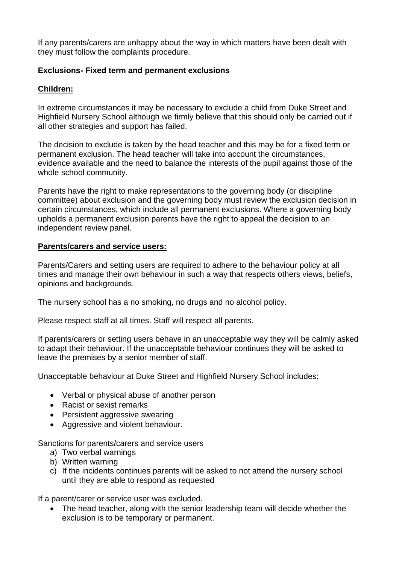If any parents/carers are unhappy about the way in which matters have been dealt with they must follow the complaints procedure.

### **Exclusions- Fixed term and permanent exclusions**

### **Children:**

In extreme circumstances it may be necessary to exclude a child from Duke Street and Highfield Nursery School although we firmly believe that this should only be carried out if all other strategies and support has failed.

The decision to exclude is taken by the head teacher and this may be for a fixed term or permanent exclusion. The head teacher will take into account the circumstances, evidence available and the need to balance the interests of the pupil against those of the whole school community.

Parents have the right to make representations to the governing body (or discipline committee) about exclusion and the governing body must review the exclusion decision in certain circumstances, which include all permanent exclusions. Where a governing body upholds a permanent exclusion parents have the right to appeal the decision to an independent review panel.

### **Parents/carers and service users:**

Parents/Carers and setting users are required to adhere to the behaviour policy at all times and manage their own behaviour in such a way that respects others views, beliefs, opinions and backgrounds.

The nursery school has a no smoking, no drugs and no alcohol policy.

Please respect staff at all times. Staff will respect all parents.

If parents/carers or setting users behave in an unacceptable way they will be calmly asked to adapt their behaviour. If the unacceptable behaviour continues they will be asked to leave the premises by a senior member of staff.

Unacceptable behaviour at Duke Street and Highfield Nursery School includes:

- Verbal or physical abuse of another person
- Racist or sexist remarks
- Persistent aggressive swearing
- Aggressive and violent behaviour.

Sanctions for parents/carers and service users

- a) Two verbal warnings
- b) Written warning
- c) If the incidents continues parents will be asked to not attend the nursery school until they are able to respond as requested

If a parent/carer or service user was excluded.

• The head teacher, along with the senior leadership team will decide whether the exclusion is to be temporary or permanent.